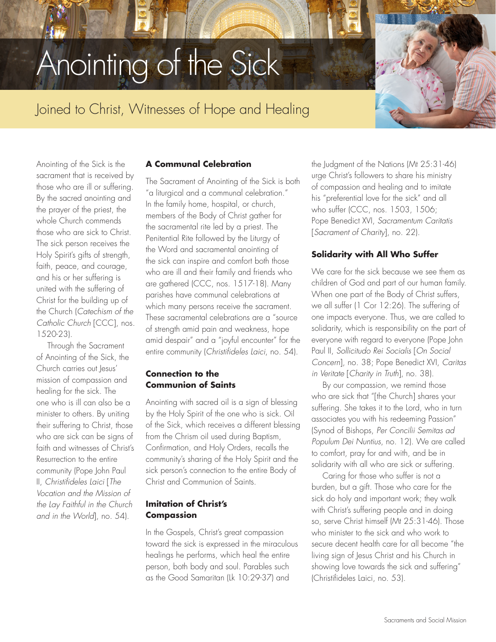# Anointing of the Sick

# Joined to Christ, Witnesses of Hope and Healing



Through the Sacrament of Anointing of the Sick, the Church carries out Jesus' mission of compassion and healing for the sick. The one who is ill can also be a minister to others. By uniting their suffering to Christ, those who are sick can be signs of faith and witnesses of Christ's Resurrection to the entire community (Pope John Paul II, *Christifideles Laici* [*The Vocation and the Mission of the Lay Faithful in the Church and in the World*], no. 54).

#### **A Communal Celebration**

The Sacrament of Anointing of the Sick is both "a liturgical and a communal celebration." In the family home, hospital, or church, members of the Body of Christ gather for the sacramental rite led by a priest. The Penitential Rite followed by the Liturgy of the Word and sacramental anointing of the sick can inspire and comfort both those who are ill and their family and friends who are gathered (CCC, nos. 1517-18). Many parishes have communal celebrations at which many persons receive the sacrament. These sacramental celebrations are a "source of strength amid pain and weakness, hope amid despair" and a "joyful encounter" for the entire community (*Christifideles Laici*, no. 54).

### **Connection to the Communion of Saints**

Anointing with sacred oil is a sign of blessing by the Holy Spirit of the one who is sick. Oil of the Sick, which receives a different blessing from the Chrism oil used during Baptism, Confirmation, and Holy Orders, recalls the community's sharing of the Holy Spirit and the sick person's connection to the entire Body of Christ and Communion of Saints.

#### **Imitation of Christ's Compassion**

In the Gospels, Christ's great compassion toward the sick is expressed in the miraculous healings he performs, which heal the entire person, both body and soul. Parables such as the Good Samaritan (Lk 10:29-37) and

the Judgment of the Nations (Mt 25:31-46) urge Christ's followers to share his ministry of compassion and healing and to imitate his "preferential love for the sick" and all who suffer (CCC, nos. 1503, 1506; Pope Benedict XVI, *Sacramentum Caritatis* [*Sacrament of Charity*], no. 22).

#### **Solidarity with All Who Suffer**

We care for the sick because we see them as children of God and part of our human family. When one part of the Body of Christ suffers, we all suffer (1 Cor 12:26). The suffering of one impacts everyone. Thus, we are called to solidarity, which is responsibility on the part of everyone with regard to everyone (Pope John Paul II, *Sollicitudo Rei Socialis* [*On Social Concern*], no. 38; Pope Benedict XVI, *Caritas in Veritate* [*Charity in Truth*], no. 38).

By our compassion, we remind those who are sick that "[the Church] shares your suffering. She takes it to the Lord, who in turn associates you with his redeeming Passion" (Synod of Bishops, *Per Concilii Semitas ad Populum Dei Nuntius*, no. 12). We are called to comfort, pray for and with, and be in solidarity with all who are sick or suffering.

Caring for those who suffer is not a burden, but a gift. Those who care for the sick do holy and important work; they walk with Christ's suffering people and in doing so, serve Christ himself (Mt 25:31-46). Those who minister to the sick and who work to secure decent health care for all become "the living sign of Jesus Christ and his Church in showing love towards the sick and suffering" (Christifideles Laici, no. 53).